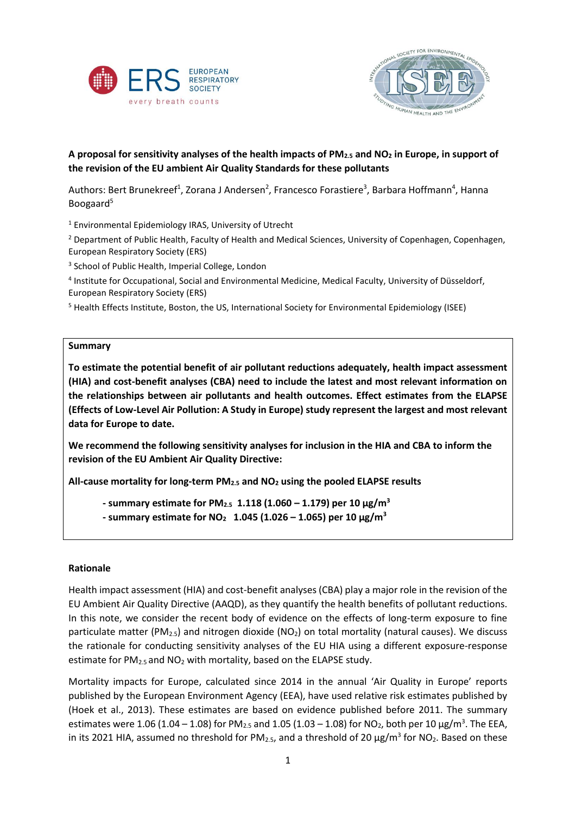



## **A proposal for sensitivity analyses of the health impacts of PM2.5 and NO<sup>2</sup> in Europe, in support of the revision of the EU ambient Air Quality Standards for these pollutants**

Authors: Bert Brunekreef<sup>1</sup>, Zorana J Andersen<sup>2</sup>, Francesco Forastiere<sup>3</sup>, Barbara Hoffmann<sup>4</sup>, Hanna Boogaard<sup>5</sup>

<sup>1</sup> Environmental Epidemiology IRAS, University of Utrecht

<sup>2</sup> Department of Public Health, Faculty of Health and Medical Sciences, University of Copenhagen, Copenhagen, European Respiratory Society (ERS)

<sup>3</sup> School of Public Health, Imperial College, London

4 Institute for Occupational, Social and Environmental Medicine, Medical Faculty, University of Düsseldorf, European Respiratory Society (ERS)

<sup>5</sup> Health Effects Institute, Boston, the US, International Society for Environmental Epidemiology (ISEE)

### **Summary**

**To estimate the potential benefit of air pollutant reductions adequately, health impact assessment (HIA) and cost-benefit analyses (CBA) need to include the latest and most relevant information on the relationships between air pollutants and health outcomes. Effect estimates from the ELAPSE (Effects of Low-Level Air Pollution: A Study in Europe) study represent the largest and most relevant data for Europe to date.** 

**We recommend the following sensitivity analyses for inclusion in the HIA and CBA to inform the revision of the EU Ambient Air Quality Directive:**

**All-cause mortality for long-term PM2.5 and NO<sup>2</sup> using the pooled ELAPSE results**

- **- summary estimate for PM2.5 1.118 (1.060 – 1.179) per 10 μg/m<sup>3</sup>**
- **- summary estimate for NO2 1.045 (1.026 – 1.065) per 10 μg/m<sup>3</sup>**

## **Rationale**

Health impact assessment (HIA) and cost-benefit analyses (CBA) play a major role in the revision of the EU Ambient Air Quality Directive (AAQD), as they quantify the health benefits of pollutant reductions. In this note, we consider the recent body of evidence on the effects of long-term exposure to fine particulate matter (PM<sub>2.5</sub>) and nitrogen dioxide (NO<sub>2</sub>) on total mortality (natural causes). We discuss the rationale for conducting sensitivity analyses of the EU HIA using a different exposure-response estimate for PM<sub>2.5</sub> and NO<sub>2</sub> with mortality, based on the ELAPSE study.

Mortality impacts for Europe, calculated since 2014 in the annual 'Air Quality in Europe' reports published by the European Environment Agency (EEA), have used relative risk estimates published by (Hoek et al., 2013). These estimates are based on evidence published before 2011. The summary estimates were 1.06 (1.04 – 1.08) for PM<sub>2.5</sub> and 1.05 (1.03 – 1.08) for NO<sub>2</sub>, both per 10  $\mu$ g/m<sup>3</sup>. The EEA, in its 2021 HIA, assumed no threshold for PM<sub>2.5</sub>, and a threshold of 20  $\mu$ g/m<sup>3</sup> for NO<sub>2</sub>. Based on these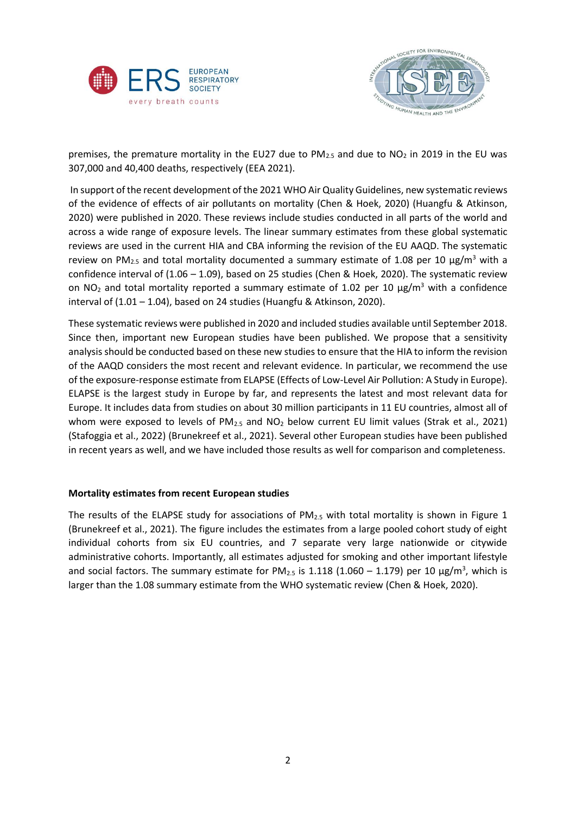



premises, the premature mortality in the EU27 due to  $PM_{2.5}$  and due to  $NO<sub>2</sub>$  in 2019 in the EU was 307,000 and 40,400 deaths, respectively (EEA 2021).

In support of the recent development of the 2021 WHO Air Quality Guidelines, new systematic reviews of the evidence of effects of air pollutants on mortality (Chen & Hoek, 2020) (Huangfu & Atkinson, 2020) were published in 2020. These reviews include studies conducted in all parts of the world and across a wide range of exposure levels. The linear summary estimates from these global systematic reviews are used in the current HIA and CBA informing the revision of the EU AAQD. The systematic review on PM<sub>2.5</sub> and total mortality documented a summary estimate of 1.08 per 10  $\mu$ g/m<sup>3</sup> with a confidence interval of (1.06 – 1.09), based on 25 studies (Chen & Hoek, 2020). The systematic review on NO<sub>2</sub> and total mortality reported a summary estimate of 1.02 per 10  $\mu$ g/m<sup>3</sup> with a confidence interval of (1.01 – 1.04), based on 24 studies (Huangfu & Atkinson, 2020).

These systematic reviews were published in 2020 and included studies available until September 2018. Since then, important new European studies have been published. We propose that a sensitivity analysisshould be conducted based on these new studies to ensure that the HIA to inform the revision of the AAQD considers the most recent and relevant evidence. In particular, we recommend the use of the exposure-response estimate from ELAPSE (Effects of Low-Level Air Pollution: A Study in Europe). ELAPSE is the largest study in Europe by far, and represents the latest and most relevant data for Europe. It includes data from studies on about 30 million participants in 11 EU countries, almost all of whom were exposed to levels of  $PM_{2.5}$  and  $NO<sub>2</sub>$  below current EU limit values (Strak et al., 2021) (Stafoggia et al., 2022) (Brunekreef et al., 2021). Several other European studies have been published in recent years as well, and we have included those results as well for comparison and completeness.

## **Mortality estimates from recent European studies**

The results of the ELAPSE study for associations of  $PM_{2.5}$  with total mortality is shown in Figure 1 (Brunekreef et al., 2021). The figure includes the estimates from a large pooled cohort study of eight individual cohorts from six EU countries, and 7 separate very large nationwide or citywide administrative cohorts. Importantly, all estimates adjusted for smoking and other important lifestyle and social factors. The summary estimate for PM<sub>2.5</sub> is 1.118 (1.060 – 1.179) per 10  $\mu$ g/m<sup>3</sup>, which is larger than the 1.08 summary estimate from the WHO systematic review (Chen & Hoek, 2020).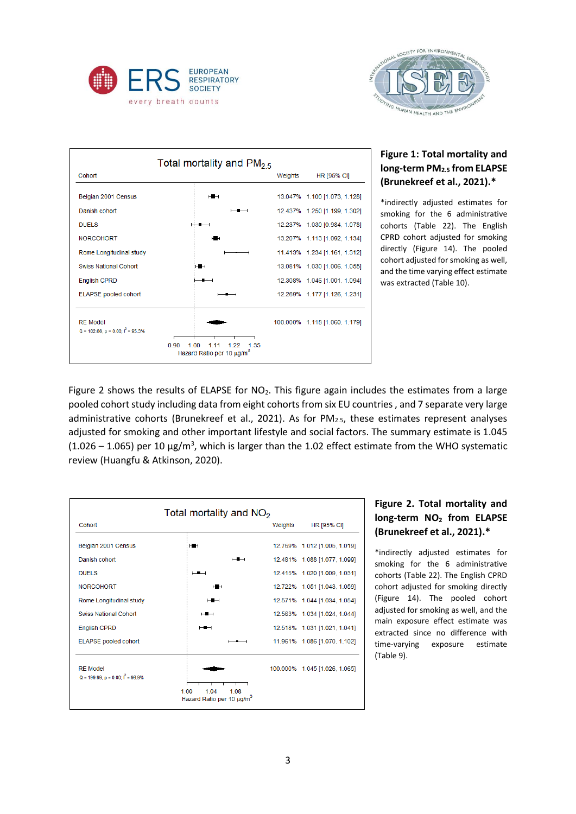



| Total mortality and PM <sub>2.5</sub>                      |                                                                               |         |                               |  |  |  |  |
|------------------------------------------------------------|-------------------------------------------------------------------------------|---------|-------------------------------|--|--|--|--|
| Cohort                                                     |                                                                               | Weights | <b>HR [95% CI]</b>            |  |  |  |  |
| Belgian 2001 Census                                        | $\overline{a}$                                                                |         | 13.047% 1.100 [1.073, 1.128]  |  |  |  |  |
| Danish cohort                                              |                                                                               |         | 12.437% 1.250 [1.199, 1.302]  |  |  |  |  |
| <b>DUELS</b>                                               |                                                                               |         | 12.237% 1.030 [0.984, 1.078]  |  |  |  |  |
| <b>NORCOHORT</b>                                           | HШH                                                                           |         | 13.207% 1.113 [1.092, 1.134]  |  |  |  |  |
| Rome Longitudinal study                                    |                                                                               |         | 11.413% 1.234 [1.161, 1.312]  |  |  |  |  |
| <b>Swiss National Cohort</b>                               | ⊶                                                                             |         | 13.081% 1.030 [1.006, 1.055]  |  |  |  |  |
| <b>English CPRD</b>                                        |                                                                               |         | 12.308% 1.046 [1.001, 1.094]  |  |  |  |  |
| <b>ELAPSE</b> pooled cohort                                |                                                                               |         | 12.269% 1.177 [1.126, 1.231]  |  |  |  |  |
| <b>RF Model</b><br>Q = 102.66, $p = 0.00$ ; $1^2 = 95.3\%$ | 0.90<br>100<br>1 1 1<br>1.22<br>1.35<br>Hazard Ratio per 10 µg/m <sup>3</sup> |         | 100.000% 1.118 [1.060, 1.179] |  |  |  |  |

# **Figure 1: Total mortality and long-term PM2.5 from ELAPSE (Brunekreef et al., 2021).\***

\*indirectly adjusted estimates for smoking for the 6 administrative cohorts (Table 22). The English CPRD cohort adjusted for smoking directly (Figure 14). The pooled cohort adjusted for smoking as well, and the time varying effect estimate was extracted (Table 10).

Figure 2 shows the results of ELAPSE for  $NO<sub>2</sub>$ . This figure again includes the estimates from a large pooled cohort study including data from eight cohorts from six EU countries , and 7 separate very large administrative cohorts (Brunekreef et al., 2021). As for PM<sub>2.5</sub>, these estimates represent analyses adjusted for smoking and other important lifestyle and social factors. The summary estimate is 1.045  $(1.026 - 1.065)$  per 10  $\mu$ g/m<sup>3</sup>, which is larger than the 1.02 effect estimate from the WHO systematic review (Huangfu & Atkinson, 2020).

| Total mortality and $NO2$                                     |                                                               |         |                               |  |  |  |  |
|---------------------------------------------------------------|---------------------------------------------------------------|---------|-------------------------------|--|--|--|--|
| Cohort                                                        |                                                               | Weights | <b>HR [95% CI]</b>            |  |  |  |  |
| Belgian 2001 Census                                           | HН                                                            |         | 12.769% 1.012 [1.005, 1.019]  |  |  |  |  |
| Danish cohort                                                 | $\overline{\phantom{a}}$                                      |         | 12.481% 1.088 [1.077, 1.099]  |  |  |  |  |
| <b>DUFLS</b>                                                  | $\overline{\phantom{0}}$                                      |         | 12.415% 1.020 [1.009, 1.031]  |  |  |  |  |
| <b>NORCOHORT</b>                                              | нш                                                            |         | 12.722% 1.051 [1.043, 1.059]  |  |  |  |  |
| Rome Longitudinal study                                       | $\overline{\phantom{a}}$                                      |         | 12.571% 1.044 [1.034, 1.054]  |  |  |  |  |
| <b>Swiss National Cohort</b>                                  | $-$                                                           |         | 12.563% 1.034 [1.024, 1.044]  |  |  |  |  |
| <b>English CPRD</b>                                           | $\overline{\phantom{a}}$                                      |         | 12.518% 1.031 [1.021, 1.041]  |  |  |  |  |
| <b>ELAPSE</b> pooled cohort                                   |                                                               |         | 11.961% 1.086 [1.070, 1.102]  |  |  |  |  |
| <b>RE Model</b><br>$Q = 199.99$ , $p = 0.00$ ; $I^2 = 96.9\%$ | 1.00<br>1.04<br>1.08<br>Hazard Ratio per 10 µg/m <sup>3</sup> |         | 100.000% 1.045 [1.026, 1.065] |  |  |  |  |

## **Figure 2. Total mortality and long-term NO<sup>2</sup> from ELAPSE (Brunekreef et al., 2021).\***

\*indirectly adjusted estimates for smoking for the 6 administrative cohorts (Table 22). The English CPRD cohort adjusted for smoking directly (Figure 14). The pooled cohort adjusted for smoking as well, and the main exposure effect estimate was extracted since no difference with time-varying exposure estimate (Table 9).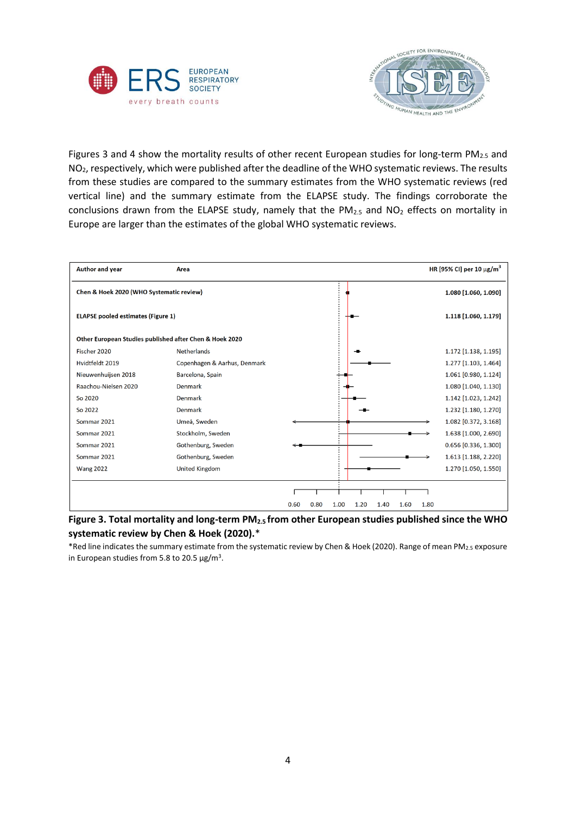



Figures 3 and 4 show the mortality results of other recent European studies for long-term  $PM<sub>2.5</sub>$  and NO2, respectively, which were published after the deadline of the WHO systematic reviews. The results from these studies are compared to the summary estimates from the WHO systematic reviews (red vertical line) and the summary estimate from the ELAPSE study. The findings corroborate the conclusions drawn from the ELAPSE study, namely that the  $PM_{2.5}$  and  $NO<sub>2</sub>$  effects on mortality in Europe are larger than the estimates of the global WHO systematic reviews.

| Author and year                                         | Area                         |      |      |      |      |      |      |      | HR [95% CI] per 10 $\mu$ g/m <sup>3</sup> |
|---------------------------------------------------------|------------------------------|------|------|------|------|------|------|------|-------------------------------------------|
| Chen & Hoek 2020 (WHO Systematic review)                |                              |      |      |      |      |      |      |      | 1.080 [1.060, 1.090]                      |
| <b>ELAPSE pooled estimates (Figure 1)</b>               |                              |      |      |      |      |      |      |      | 1.118 [1.060, 1.179]                      |
| Other European Studies published after Chen & Hoek 2020 |                              |      |      |      |      |      |      |      |                                           |
| Fischer 2020                                            | <b>Netherlands</b>           |      |      |      |      |      |      |      | 1.172 [1.138, 1.195]                      |
| Hvidtfeldt 2019                                         | Copenhagen & Aarhus, Denmark |      |      |      |      |      |      |      | 1.277 [1.103, 1.464]                      |
| Nieuwenhuijsen 2018                                     | Barcelona, Spain             |      |      |      |      |      |      |      | 1.061 [0.980, 1.124]                      |
| Raachou-Nielsen 2020                                    | Denmark                      |      |      |      |      |      |      |      | 1.080 [1.040, 1.130]                      |
| So 2020                                                 | <b>Denmark</b>               |      |      |      |      |      |      |      | 1.142 [1.023, 1.242]                      |
| So 2022                                                 | <b>Denmark</b>               |      |      |      |      |      |      |      | 1.232 [1.180, 1.270]                      |
| Sommar 2021                                             | Umeå, Sweden                 |      |      |      |      |      |      |      | 1.082 [0.372, 3.168]                      |
| Sommar 2021                                             | Stockholm, Sweden            |      |      |      |      |      |      |      | 1.638 [1.000, 2.690]                      |
| Sommar 2021                                             | Gothenburg, Sweden           |      |      |      |      |      |      |      | 0.656 [0.336, 1.300]                      |
| Sommar 2021                                             | Gothenburg, Sweden           |      |      |      |      |      |      |      | 1.613 [1.188, 2.220]                      |
| <b>Wang 2022</b>                                        | <b>United Kingdom</b>        |      |      |      |      |      |      |      | 1.270 [1.050, 1.550]                      |
|                                                         |                              |      |      |      |      |      |      |      |                                           |
|                                                         |                              | 0.60 | 0.80 | 1.00 | 1.20 | 1.40 | 1.60 | 1.80 |                                           |

**Figure 3. Total mortality and long-term PM2.5 from other European studies published since the WHO systematic review by Chen & Hoek (2020).**\*

\*Red line indicates the summary estimate from the systematic review by Chen & Hoek (2020). Range of mean PM<sub>2.5</sub> exposure in European studies from 5.8 to 20.5 μg/m<sup>3</sup>.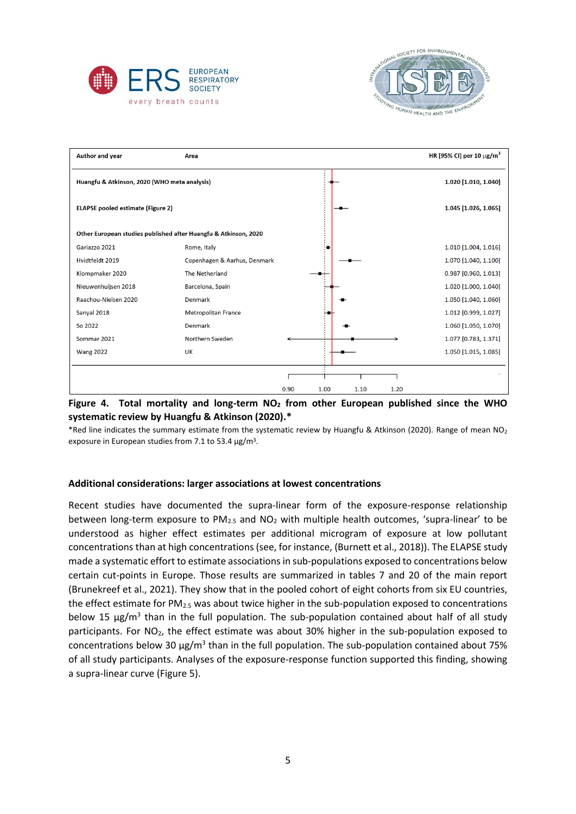



| <b>Author and year</b>                       | Area                                                            |      |      |      |      | HR [95% CI] per 10 $\mu$ g/m <sup>3</sup> |
|----------------------------------------------|-----------------------------------------------------------------|------|------|------|------|-------------------------------------------|
| Huangfu & Atkinson, 2020 (WHO meta analysis) |                                                                 |      |      |      |      | 1.020 [1.010, 1.040]                      |
| <b>ELAPSE pooled estimate (Figure 2)</b>     |                                                                 |      |      |      |      | 1.045 [1.026, 1.065]                      |
|                                              | Other European studies published after Huangfu & Atkinson, 2020 |      |      |      |      |                                           |
| Gariazzo 2021                                | Rome, Italy                                                     |      |      |      |      | 1.010 [1.004, 1.016]                      |
| Hvidtfeldt 2019                              | Copenhagen & Aarhus, Denmark                                    |      |      |      |      | 1.070 [1.040, 1.100]                      |
| Klompmaker 2020                              | The Netherland                                                  |      |      |      |      | 0.987 [0.960, 1.013]                      |
| Nieuwenhuijsen 2018                          | Barcelona, Spain                                                |      |      |      |      | 1.020 [1.000, 1.040]                      |
| Raachou-Nielsen 2020                         | Denmark                                                         |      |      |      |      | 1.050 [1.040, 1.060]                      |
| Sanyal 2018                                  | <b>Metropolitan France</b>                                      |      |      |      |      | 1.012 [0.999, 1.027]                      |
| So 2022                                      | Denmark                                                         |      |      |      |      | 1.060 [1.050, 1.070]                      |
| Sommar 2021                                  | Northern Sweden                                                 |      |      |      |      | 1.077 [0.783, 1.371]                      |
| <b>Wang 2022</b>                             | <b>UK</b>                                                       |      |      |      |      | 1.050 [1.015, 1.085]                      |
|                                              |                                                                 |      |      |      |      |                                           |
|                                              |                                                                 | 0.90 | 1.00 | 1.10 | 1.20 |                                           |



\*Red line indicates the summary estimate from the systematic review by Huangfu & Atkinson (2020). Range of mean  $NO<sub>2</sub>$ exposure in European studies from 7.1 to 53.4  $\mu$ g/m<sup>3</sup>.

#### **Additional considerations: larger associations at lowest concentrations**

Recent studies have documented the supra-linear form of the exposure-response relationship between long-term exposure to  $PM_{2.5}$  and  $NO_2$  with multiple health outcomes, 'supra-linear' to be understood as higher effect estimates per additional microgram of exposure at low pollutant concentrations than at high concentrations (see, for instance, (Burnett et al., 2018)). The ELAPSE study made a systematic effort to estimate associations in sub-populations exposed to concentrations below certain cut-points in Europe. Those results are summarized in tables 7 and 20 of the main report (Brunekreef et al., 2021). They show that in the pooled cohort of eight cohorts from six EU countries, the effect estimate for PM<sub>2.5</sub> was about twice higher in the sub-population exposed to concentrations below 15  $\mu$ g/m<sup>3</sup> than in the full population. The sub-population contained about half of all study participants. For NO<sub>2</sub>, the effect estimate was about 30% higher in the sub-population exposed to concentrations below 30  $\mu$ g/m<sup>3</sup> than in the full population. The sub-population contained about 75% of all study participants. Analyses of the exposure-response function supported this finding, showing a supra-linear curve (Figure 5).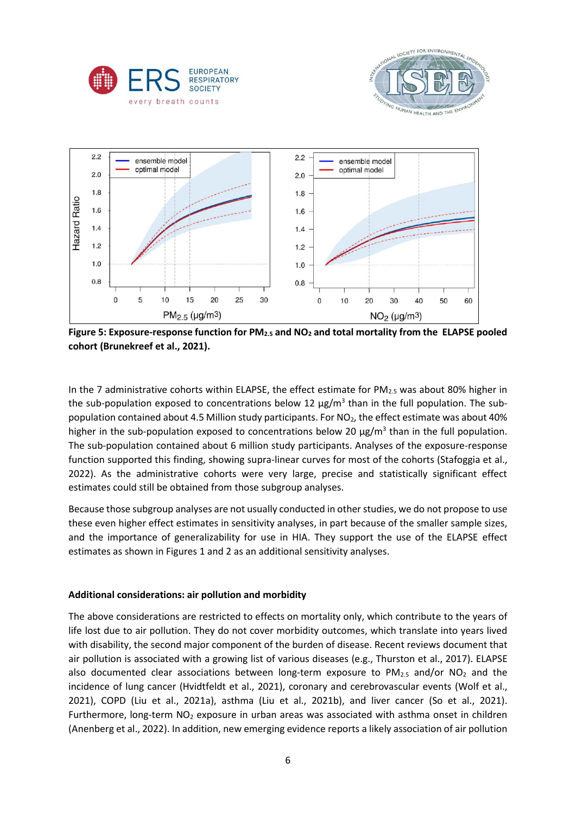





**Figure 5: Exposure-response function for PM2.5 and NO<sup>2</sup> and total mortality from the ELAPSE pooled cohort (Brunekreef et al., 2021).**

In the 7 administrative cohorts within ELAPSE, the effect estimate for  $PM_{2.5}$  was about 80% higher in the sub-population exposed to concentrations below 12 μg/m<sup>3</sup> than in the full population. The subpopulation contained about 4.5 Million study participants. For NO<sub>2</sub>, the effect estimate was about 40% higher in the sub-population exposed to concentrations below 20  $\mu$ g/m<sup>3</sup> than in the full population. The sub-population contained about 6 million study participants. Analyses of the exposure-response function supported this finding, showing supra-linear curves for most of the cohorts (Stafoggia et al., 2022). As the administrative cohorts were very large, precise and statistically significant effect estimates could still be obtained from those subgroup analyses.

Because those subgroup analyses are not usually conducted in other studies, we do not propose to use these even higher effect estimates in sensitivity analyses, in part because of the smaller sample sizes, and the importance of generalizability for use in HIA. They support the use of the ELAPSE effect estimates as shown in Figures 1 and 2 as an additional sensitivity analyses.

## **Additional considerations: air pollution and morbidity**

The above considerations are restricted to effects on mortality only, which contribute to the years of life lost due to air pollution. They do not cover morbidity outcomes, which translate into years lived with disability, the second major component of the burden of disease. Recent reviews document that air pollution is associated with a growing list of various diseases (e.g., Thurston et al., 2017). ELAPSE also documented clear associations between long-term exposure to  $PM_{2.5}$  and/or  $NO<sub>2</sub>$  and the incidence of lung cancer (Hvidtfeldt et al., 2021), coronary and cerebrovascular events (Wolf et al., 2021), COPD (Liu et al., 2021a), asthma (Liu et al., 2021b), and liver cancer (So et al., 2021). Furthermore, long-term  $NO<sub>2</sub>$  exposure in urban areas was associated with asthma onset in children (Anenberg et al., 2022). In addition, new emerging evidence reports a likely association of air pollution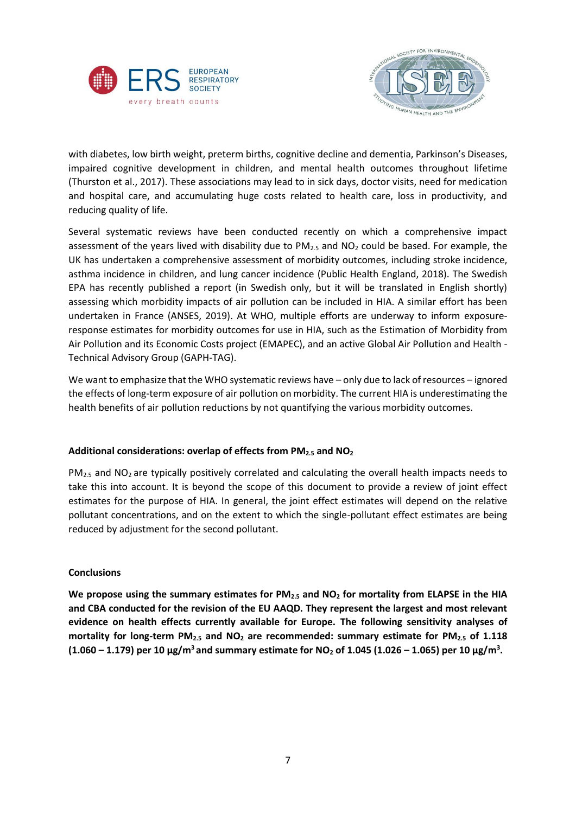



with diabetes, low birth weight, preterm births, cognitive decline and dementia, Parkinson's Diseases, impaired cognitive development in children, and mental health outcomes throughout lifetime (Thurston et al., 2017). These associations may lead to in sick days, doctor visits, need for medication and hospital care, and accumulating huge costs related to health care, loss in productivity, and reducing quality of life.

Several systematic reviews have been conducted recently on which a comprehensive impact assessment of the years lived with disability due to  $PM_{2.5}$  and  $NO_2$  could be based. For example, the UK has undertaken a comprehensive assessment of morbidity outcomes, including stroke incidence, asthma incidence in children, and lung cancer incidence (Public Health England, 2018). The Swedish EPA has recently published a report (in Swedish only, but it will be translated in English shortly) assessing which morbidity impacts of air pollution can be included in HIA. A similar effort has been undertaken in France (ANSES, 2019). At WHO, multiple efforts are underway to inform exposureresponse estimates for morbidity outcomes for use in HIA, such as the Estimation of Morbidity from Air Pollution and its Economic Costs project (EMAPEC), and an active Global Air Pollution and Health - Technical Advisory Group (GAPH-TAG).

We want to emphasize that the WHO systematic reviews have – only due to lack of resources – ignored the effects of long-term exposure of air pollution on morbidity. The current HIA is underestimating the health benefits of air pollution reductions by not quantifying the various morbidity outcomes.

## **Additional considerations: overlap of effects from PM2.5 and NO<sup>2</sup>**

 $PM_{2.5}$  and NO<sub>2</sub> are typically positively correlated and calculating the overall health impacts needs to take this into account. It is beyond the scope of this document to provide a review of joint effect estimates for the purpose of HIA. In general, the joint effect estimates will depend on the relative pollutant concentrations, and on the extent to which the single-pollutant effect estimates are being reduced by adjustment for the second pollutant.

## **Conclusions**

**We propose using the summary estimates for PM2.5 and NO<sup>2</sup> for mortality from ELAPSE in the HIA and CBA conducted for the revision of the EU AAQD. They represent the largest and most relevant evidence on health effects currently available for Europe. The following sensitivity analyses of mortality for long-term PM2.5 and NO<sup>2</sup> are recommended: summary estimate for PM2.5 of 1.118 (1.060 – 1.179) per 10 μg/m<sup>3</sup> and summary estimate for NO<sup>2</sup> of 1.045 (1.026 – 1.065) per 10 μg/m<sup>3</sup> .**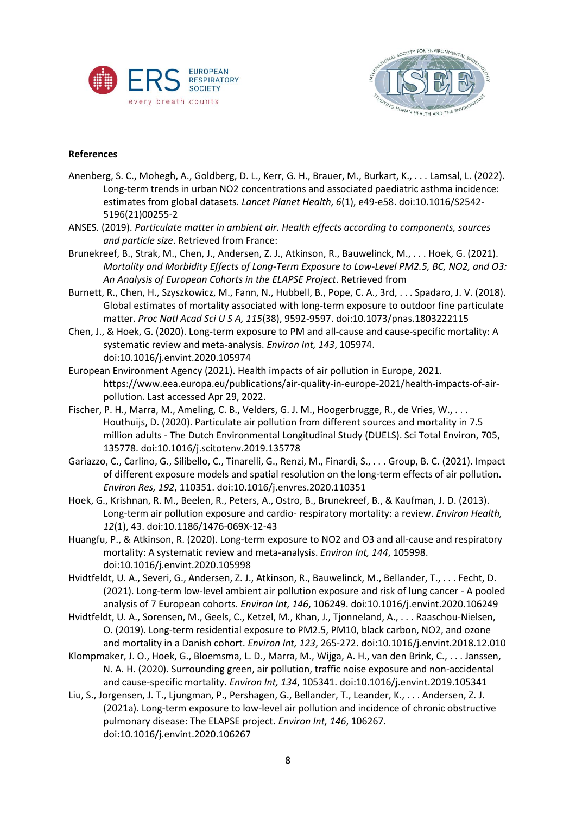



## **References**

- Anenberg, S. C., Mohegh, A., Goldberg, D. L., Kerr, G. H., Brauer, M., Burkart, K., . . . Lamsal, L. (2022). Long-term trends in urban NO2 concentrations and associated paediatric asthma incidence: estimates from global datasets. *Lancet Planet Health, 6*(1), e49-e58. doi:10.1016/S2542- 5196(21)00255-2
- ANSES. (2019). *Particulate matter in ambient air. Health effects according to components, sources and particle size*. Retrieved from France:
- Brunekreef, B., Strak, M., Chen, J., Andersen, Z. J., Atkinson, R., Bauwelinck, M., . . . Hoek, G. (2021). *Mortality and Morbidity Effects of Long-Term Exposure to Low-Level PM2.5, BC, NO2, and O3: An Analysis of European Cohorts in the ELAPSE Project*. Retrieved from
- Burnett, R., Chen, H., Szyszkowicz, M., Fann, N., Hubbell, B., Pope, C. A., 3rd, . . . Spadaro, J. V. (2018). Global estimates of mortality associated with long-term exposure to outdoor fine particulate matter. *Proc Natl Acad Sci U S A, 115*(38), 9592-9597. doi:10.1073/pnas.1803222115
- Chen, J., & Hoek, G. (2020). Long-term exposure to PM and all-cause and cause-specific mortality: A systematic review and meta-analysis. *Environ Int, 143*, 105974. doi:10.1016/j.envint.2020.105974
- European Environment Agency (2021). Health impacts of air pollution in Europe, 2021. [https://www.eea.europa.eu/publications/air-quality-in-europe-2021/health-impacts-of-air](https://www.eea.europa.eu/publications/air-quality-in-europe-2021/health-impacts-of-air-pollution)[pollution.](https://www.eea.europa.eu/publications/air-quality-in-europe-2021/health-impacts-of-air-pollution) Last accessed Apr 29, 2022.
- Fischer, P. H., Marra, M., Ameling, C. B., Velders, G. J. M., Hoogerbrugge, R., de Vries, W., . . . Houthuijs, D. (2020). Particulate air pollution from different sources and mortality in 7.5 million adults - The Dutch Environmental Longitudinal Study (DUELS). Sci Total Environ, 705, 135778. doi:10.1016/j.scitotenv.2019.135778
- Gariazzo, C., Carlino, G., Silibello, C., Tinarelli, G., Renzi, M., Finardi, S., . . . Group, B. C. (2021). Impact of different exposure models and spatial resolution on the long-term effects of air pollution. *Environ Res, 192*, 110351. doi:10.1016/j.envres.2020.110351
- Hoek, G., Krishnan, R. M., Beelen, R., Peters, A., Ostro, B., Brunekreef, B., & Kaufman, J. D. (2013). Long-term air pollution exposure and cardio- respiratory mortality: a review. *Environ Health, 12*(1), 43. doi:10.1186/1476-069X-12-43
- Huangfu, P., & Atkinson, R. (2020). Long-term exposure to NO2 and O3 and all-cause and respiratory mortality: A systematic review and meta-analysis. *Environ Int, 144*, 105998. doi:10.1016/j.envint.2020.105998
- Hvidtfeldt, U. A., Severi, G., Andersen, Z. J., Atkinson, R., Bauwelinck, M., Bellander, T., . . . Fecht, D. (2021). Long-term low-level ambient air pollution exposure and risk of lung cancer - A pooled analysis of 7 European cohorts. *Environ Int, 146*, 106249. doi:10.1016/j.envint.2020.106249
- Hvidtfeldt, U. A., Sorensen, M., Geels, C., Ketzel, M., Khan, J., Tjonneland, A., . . . Raaschou-Nielsen, O. (2019). Long-term residential exposure to PM2.5, PM10, black carbon, NO2, and ozone and mortality in a Danish cohort. *Environ Int, 123*, 265-272. doi:10.1016/j.envint.2018.12.010
- Klompmaker, J. O., Hoek, G., Bloemsma, L. D., Marra, M., Wijga, A. H., van den Brink, C., . . . Janssen, N. A. H. (2020). Surrounding green, air pollution, traffic noise exposure and non-accidental and cause-specific mortality. *Environ Int, 134*, 105341. doi:10.1016/j.envint.2019.105341
- Liu, S., Jorgensen, J. T., Ljungman, P., Pershagen, G., Bellander, T., Leander, K., . . . Andersen, Z. J. (2021a). Long-term exposure to low-level air pollution and incidence of chronic obstructive pulmonary disease: The ELAPSE project. *Environ Int, 146*, 106267. doi:10.1016/j.envint.2020.106267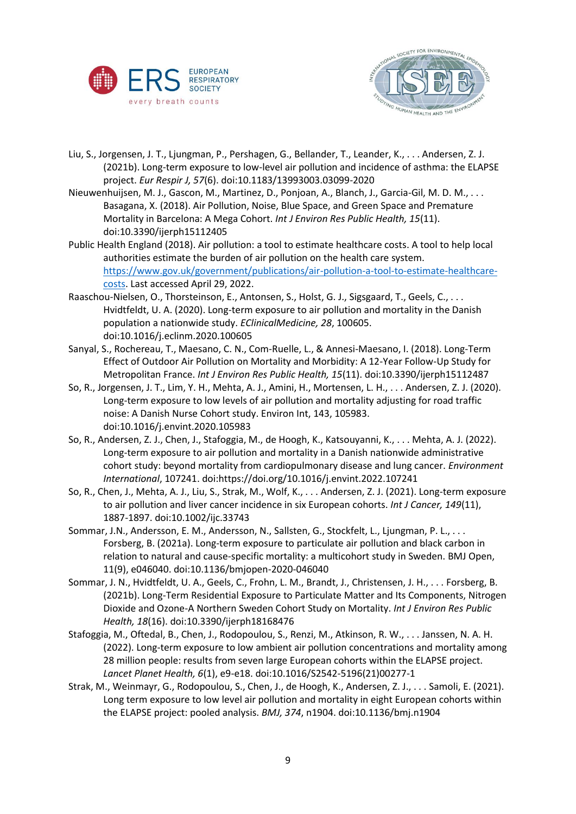



- Liu, S., Jorgensen, J. T., Ljungman, P., Pershagen, G., Bellander, T., Leander, K., . . . Andersen, Z. J. (2021b). Long-term exposure to low-level air pollution and incidence of asthma: the ELAPSE project. *Eur Respir J, 57*(6). doi:10.1183/13993003.03099-2020
- Nieuwenhuijsen, M. J., Gascon, M., Martinez, D., Ponjoan, A., Blanch, J., Garcia-Gil, M. D. M., . . . Basagana, X. (2018). Air Pollution, Noise, Blue Space, and Green Space and Premature Mortality in Barcelona: A Mega Cohort. *Int J Environ Res Public Health, 15*(11). doi:10.3390/ijerph15112405
- Public Health England (2018). Air pollution: a tool to estimate healthcare costs. A tool to help local authorities estimate the burden of air pollution on the health care system. [https://www.gov.uk/government/publications/air-pollution-a-tool-to-estimate-healthcare](https://www.gov.uk/government/publications/air-pollution-a-tool-to-estimate-healthcare-costs)[costs.](https://www.gov.uk/government/publications/air-pollution-a-tool-to-estimate-healthcare-costs) Last accessed April 29, 2022.
- Raaschou-Nielsen, O., Thorsteinson, E., Antonsen, S., Holst, G. J., Sigsgaard, T., Geels, C., . . . Hvidtfeldt, U. A. (2020). Long-term exposure to air pollution and mortality in the Danish population a nationwide study. *EClinicalMedicine, 28*, 100605. doi:10.1016/j.eclinm.2020.100605
- Sanyal, S., Rochereau, T., Maesano, C. N., Com-Ruelle, L., & Annesi-Maesano, I. (2018). Long-Term Effect of Outdoor Air Pollution on Mortality and Morbidity: A 12-Year Follow-Up Study for Metropolitan France. *Int J Environ Res Public Health, 15*(11). doi:10.3390/ijerph15112487
- So, R., Jorgensen, J. T., Lim, Y. H., Mehta, A. J., Amini, H., Mortensen, L. H., . . . Andersen, Z. J. (2020). Long-term exposure to low levels of air pollution and mortality adjusting for road traffic noise: A Danish Nurse Cohort study. Environ Int, 143, 105983. doi:10.1016/j.envint.2020.105983
- So, R., Andersen, Z. J., Chen, J., Stafoggia, M., de Hoogh, K., Katsouyanni, K., . . . Mehta, A. J. (2022). Long-term exposure to air pollution and mortality in a Danish nationwide administrative cohort study: beyond mortality from cardiopulmonary disease and lung cancer. *Environment International*, 107241. doi:https://doi.org/10.1016/j.envint.2022.107241
- So, R., Chen, J., Mehta, A. J., Liu, S., Strak, M., Wolf, K., . . . Andersen, Z. J. (2021). Long-term exposure to air pollution and liver cancer incidence in six European cohorts. *Int J Cancer, 149*(11), 1887-1897. doi:10.1002/ijc.33743
- Sommar, J.N., Andersson, E. M., Andersson, N., Sallsten, G., Stockfelt, L., Ljungman, P. L., . . . Forsberg, B. (2021a). Long-term exposure to particulate air pollution and black carbon in relation to natural and cause-specific mortality: a multicohort study in Sweden. BMJ Open, 11(9), e046040. doi:10.1136/bmjopen-2020-046040
- Sommar, J. N., Hvidtfeldt, U. A., Geels, C., Frohn, L. M., Brandt, J., Christensen, J. H., . . . Forsberg, B. (2021b). Long-Term Residential Exposure to Particulate Matter and Its Components, Nitrogen Dioxide and Ozone-A Northern Sweden Cohort Study on Mortality. *Int J Environ Res Public Health, 18*(16). doi:10.3390/ijerph18168476
- Stafoggia, M., Oftedal, B., Chen, J., Rodopoulou, S., Renzi, M., Atkinson, R. W., . . . Janssen, N. A. H. (2022). Long-term exposure to low ambient air pollution concentrations and mortality among 28 million people: results from seven large European cohorts within the ELAPSE project. *Lancet Planet Health, 6*(1), e9-e18. doi:10.1016/S2542-5196(21)00277-1
- Strak, M., Weinmayr, G., Rodopoulou, S., Chen, J., de Hoogh, K., Andersen, Z. J., . . . Samoli, E. (2021). Long term exposure to low level air pollution and mortality in eight European cohorts within the ELAPSE project: pooled analysis. *BMJ, 374*, n1904. doi:10.1136/bmj.n1904